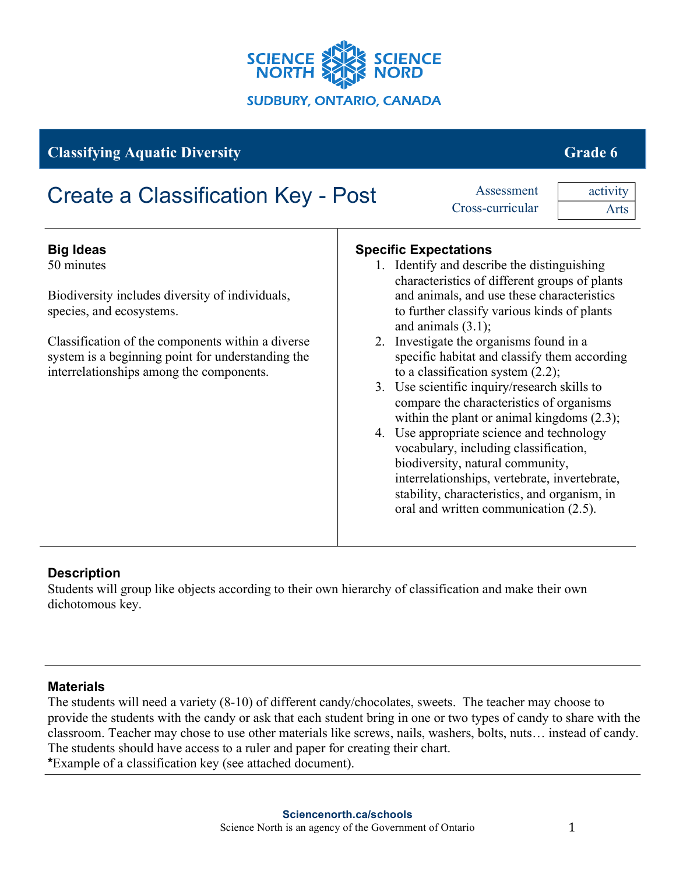

# **Classifying Aquatic Diversity Grade 6 Grade 6 Grade 6 Grade 6 Grade 6 Grade 6 Grade 6 Grade 6 Grade 6 Grade 6 Grade 6 Grade 6 Grade 6 Grade 6 Grade 6 Grade 6 Grade 6 Grade 6 Grade 6**

| <b>Create a Classification Key - Post</b>                                                                                                                                                                                                                           |    | Assessment<br>Cross-curricular                                                                                                                                                                                                                                                                                                                                                                                                                                                                                                                                                                                                                                                                                                                                                                      | activity<br>Arts |
|---------------------------------------------------------------------------------------------------------------------------------------------------------------------------------------------------------------------------------------------------------------------|----|-----------------------------------------------------------------------------------------------------------------------------------------------------------------------------------------------------------------------------------------------------------------------------------------------------------------------------------------------------------------------------------------------------------------------------------------------------------------------------------------------------------------------------------------------------------------------------------------------------------------------------------------------------------------------------------------------------------------------------------------------------------------------------------------------------|------------------|
| <b>Big Ideas</b><br>50 minutes<br>Biodiversity includes diversity of individuals,<br>species, and ecosystems.<br>Classification of the components within a diverse<br>system is a beginning point for understanding the<br>interrelationships among the components. | 3. | <b>Specific Expectations</b><br>1. Identify and describe the distinguishing<br>characteristics of different groups of plants<br>and animals, and use these characteristics<br>to further classify various kinds of plants<br>and animals $(3.1)$ ;<br>2. Investigate the organisms found in a<br>specific habitat and classify them according<br>to a classification system $(2.2)$ ;<br>Use scientific inquiry/research skills to<br>compare the characteristics of organisms<br>within the plant or animal kingdoms $(2.3)$ ;<br>4. Use appropriate science and technology<br>vocabulary, including classification,<br>biodiversity, natural community,<br>interrelationships, vertebrate, invertebrate,<br>stability, characteristics, and organism, in<br>oral and written communication (2.5). |                  |

# **Description**

Students will group like objects according to their own hierarchy of classification and make their own dichotomous key.

# **Materials**

The students will need a variety (8-10) of different candy/chocolates, sweets. The teacher may choose to provide the students with the candy or ask that each student bring in one or two types of candy to share with the classroom. Teacher may chose to use other materials like screws, nails, washers, bolts, nuts… instead of candy. The students should have access to a ruler and paper for creating their chart. **\***Example of a classification key (see attached document).